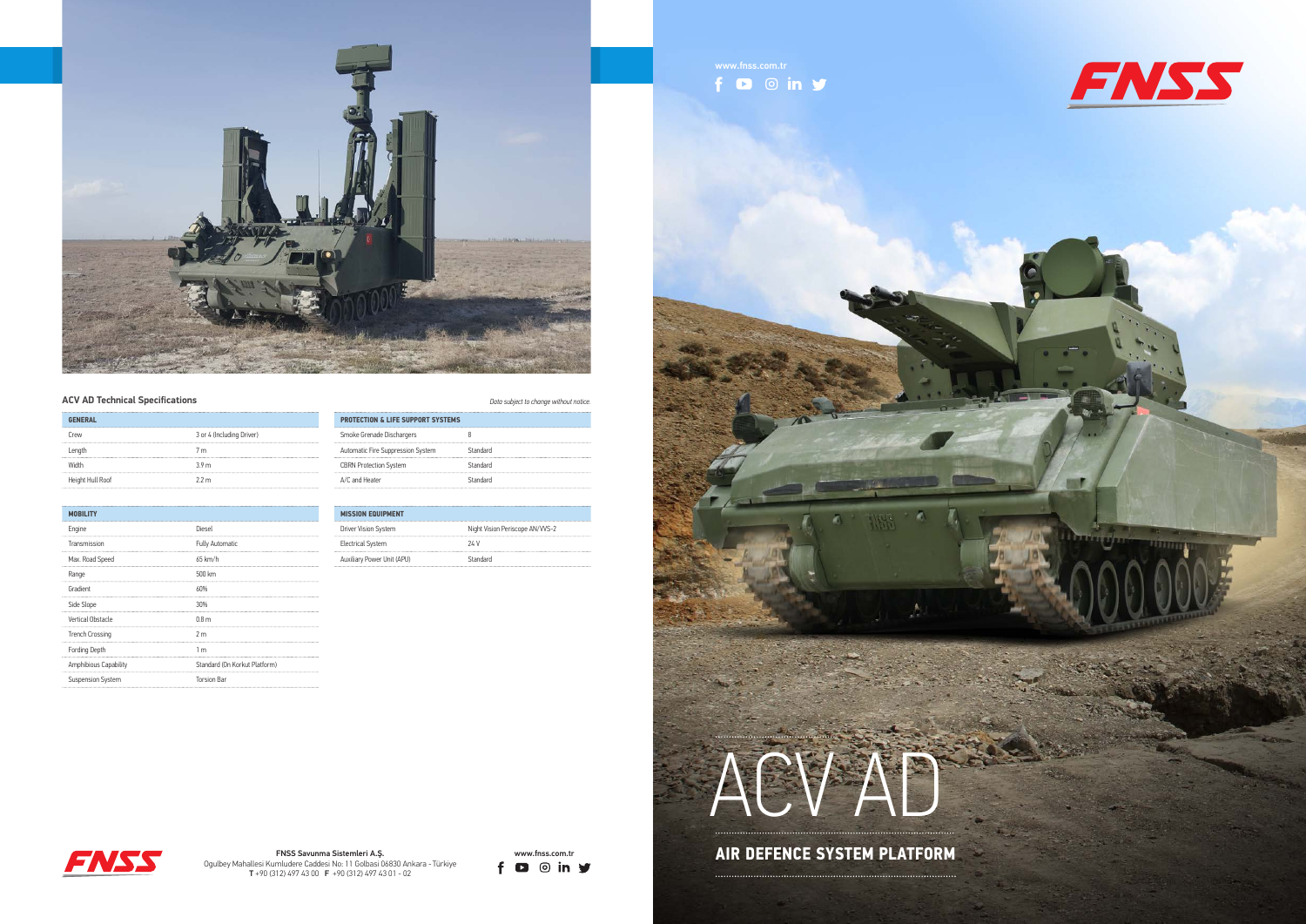



www.fnss.com.tr<br>
f D O in Y











## **ACV AD Technical Specifications** *Data subject to change without notice.*

| <b>GENERAL</b>   |                           |
|------------------|---------------------------|
| Crew<br>         | 3 or 4 (Including Driver) |
| Length           | 7 <sub>m</sub>            |
| Width            | 39 <sub>m</sub>           |
| Height Hull Roof | 22m                       |

| <b>MOBILITY</b>          |                               |
|--------------------------|-------------------------------|
| Engine                   | Diesel                        |
| Transmission             | <b>Fully Automatic</b>        |
| Max. Road Speed          | 65 km/h                       |
| Range                    | 500 km                        |
| Gradient                 | 60%                           |
| Side Slope               | 30%                           |
| Vertical Obstacle        | 0.8 <sub>m</sub>              |
| <b>Trench Crossing</b>   | 2 <sub>m</sub>                |
| <b>Fording Depth</b>     | 1 <sub>m</sub>                |
| Amphibious Capability    | Standard (On Korkut Platform) |
| <b>Suspension System</b> | <b>Torsion Bar</b>            |

| <b>PROTECTION &amp; LIFE SUPPORT SYSTEMS</b> |          |
|----------------------------------------------|----------|
| Smoke Grenade Dischargers                    |          |
| Automatic Fire Suppression System            | Standard |
| <b>CBRN Protection System</b>                | Standard |
| A/C and Heater                               | Standard |

| <b>MISSION EQUIPMENT</b>   |                                 |
|----------------------------|---------------------------------|
| Driver Vision System       | Night Vision Periscope AN/VVS-2 |
| <b>Electrical System</b>   | 24V                             |
| Auxiliary Power Unit (APU) | Standard                        |